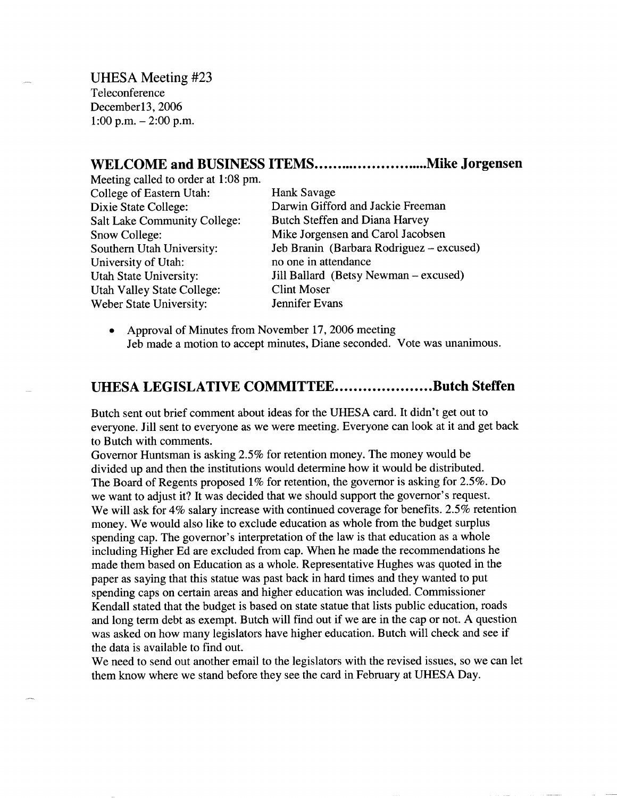UHESA Meeting #23 Teleconference December13, 2006 1:00 p.m.  $-2:00$  p.m.

## **WELCOME and BUSINESS ITEMS..............................Mike Jorgensen**

Meeting called to order at 1:08 pm. College of Eastern Utah: Hank Savage Dixie State College: Darwin Gifford and Jackie Freeman Salt Lake Community College: Butch Steffen and Diana Harvey Snow College: Mike Jorgensen and Carol Jacobsen University of Utah: no one in attendance Utah Valley State College: Clint Moser Weber State University: Jennifer Evans

Southern Utah University: Jeb Branin (Barbara Rodriguez - excused) Utah State University: Jill Ballard (Betsy Newman - excused)

• Approval of Minutes from November 17, 2006 meeting Jeb made a motion to accept minutes, Diane seconded. Vote was unanimous.

## **UHESA LEGISLATIVE COMMITTEE....................Butch Steffen**

Butch sent out brief comment about ideas for the UHESA card. It didn't get out to everyone. Jill sent to everyone as we were meeting. Everyone can look at it and get back to Butch with comments.

Governor Huntsman is asking 2.5% for retention money. The money would be divided up and then the institutions would determine how it would be distributed. The Board of Regents proposed 1% for retention, the governor is asking for 2.5%. Do we want to adjust it? It was decided that we should support the governor's request. We will ask for 4% salary increase with continued coverage for benefits. 2.5% retention money. We would also like to exclude education as whole from the budget surplus spending cap. The governor's interpretation of the law is that education as a whole including Higher Ed are excluded from cap. When he made the recommendations he made them based on Education as a whole. Representative Hughes was quoted in the paper as saying that this statue was past back in hard times and they wanted to put spending caps on certain areas and higher education was included. Commissioner Kendall stated that the budget is based on state statue that lists public education, roads and long term debt as exempt. Butch will find out if we are in the cap or not. A question was asked on how many legislators have higher education. Butch will check and see if the data is available to find out.

We need to send out another email to the legislators with the revised issues, so we can let them know where we stand before they see the card in February at UHESA Day.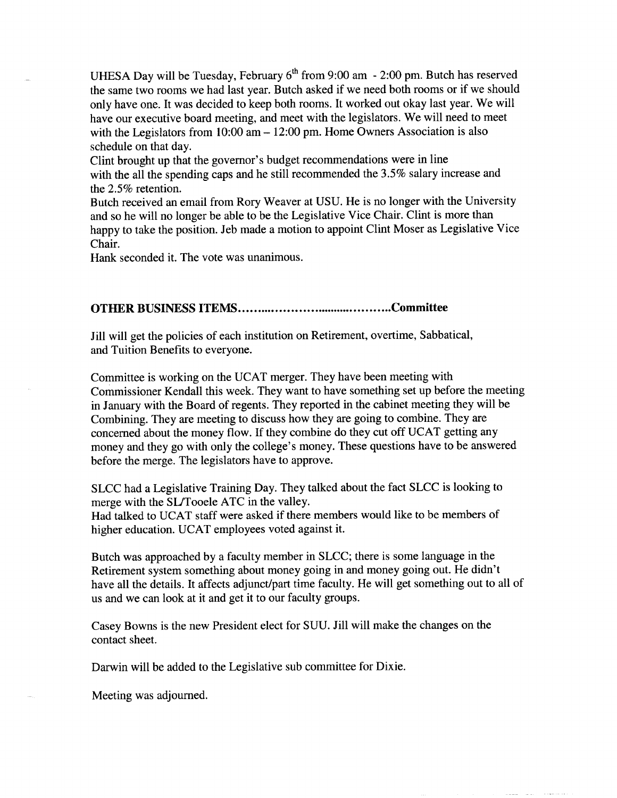UHESA Day will be Tuesday, February  $6<sup>th</sup>$  from 9:00 am - 2:00 pm. Butch has reserved the same two rooms we had last year. Butch asked if we need both rooms or if we should only have one. It was decided to keep both rooms. It worked out okay last year. We will have our executive board meeting, and meet with the legislators. We will need to meet with the Legislators from 10:00 am – 12:00 pm. Home Owners Association is also schedule on that day.

Clint brought up that the governor's budget recommendations were in line with the all the spending caps and he still recommended the 3.5% salary increase and the 2.5% retention.

Butch received an email from Rory Weaver at USU. He is no longer with the University and so he will no longer be able to be the Legislative Vice Chair. Clint is more than happy to take the position. Jeb made a motion to appoint Clint Moser as Legislative Vice Chair.

Hank seconded it. The vote was unanimous.

## **OTHER BUSINESS ITEMS Committee**

Jill will get the policies of each institution on Retirement, overtime, Sabbatical, and Tuition Benefits to everyone.

Committee is working on the UCAT merger. They have been meeting with Commissioner Kendall this week. They want to have something set up before the meeting in January with the Board of regents. They reported in the cabinet meeting they will be Combining. They are meeting to discuss how they are going to combine. They are concerned about the money flow. If they combine do they cut off UCAT getting any money and they go with only the college's money. These questions have to be answered before the merge. The legislators have to approve.

SLCC had a Legislative Training Day. They talked about the fact SLCC is looking to merge with the SL/Tooele ATC in the valley.

Had talked to UCAT staff were asked if there members would like to be members of higher education. UCAT employees voted against it.

Butch was approached by a faculty member in SLCC; there is some language in the Retirement system something about money going in and money going out. He didn't have all the details. It affects adjunct/part time faculty. He will get something out to all of us and we can look at it and get it to our faculty groups.

Casey Bowns is the new President elect for SUU. Jill will make the changes on the contact sheet.

Darwin will be added to the Legislative sub committee for Dixie.

Meeting was adjourned.